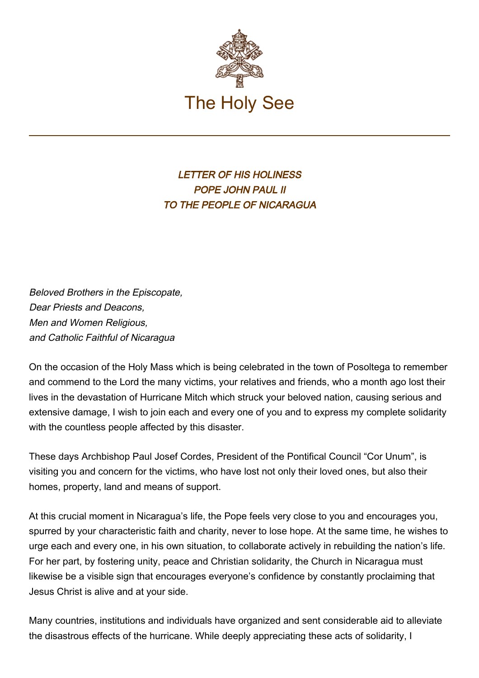

LETTER OF HIS HOLINESS POPE JOHN PAUL II TO THE PEOPLE OF NICARAGUA

Beloved Brothers in the Episcopate, Dear Priests and Deacons, Men and Women Religious, and Catholic Faithful of Nicaragua

On the occasion of the Holy Mass which is being celebrated in the town of Posoltega to remember and commend to the Lord the many victims, your relatives and friends, who a month ago lost their lives in the devastation of Hurricane Mitch which struck your beloved nation, causing serious and extensive damage, I wish to join each and every one of you and to express my complete solidarity with the countless people affected by this disaster.

These days Archbishop Paul Josef Cordes, President of the Pontifical Council "Cor Unum", is visiting you and concern for the victims, who have lost not only their loved ones, but also their homes, property, land and means of support.

At this crucial moment in Nicaragua's life, the Pope feels very close to you and encourages you, spurred by your characteristic faith and charity, never to lose hope. At the same time, he wishes to urge each and every one, in his own situation, to collaborate actively in rebuilding the nation's life. For her part, by fostering unity, peace and Christian solidarity, the Church in Nicaragua must likewise be a visible sign that encourages everyone's confidence by constantly proclaiming that Jesus Christ is alive and at your side.

Many countries, institutions and individuals have organized and sent considerable aid to alleviate the disastrous effects of the hurricane. While deeply appreciating these acts of solidarity, I